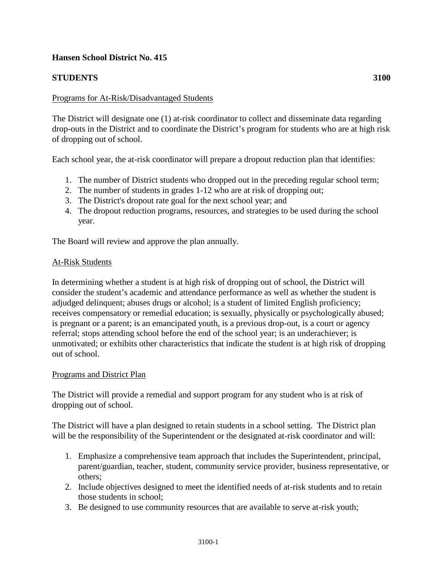# **Hansen School District No. 415**

# **STUDENTS 3100**

## Programs for At-Risk/Disadvantaged Students

The District will designate one (1) at-risk coordinator to collect and disseminate data regarding drop-outs in the District and to coordinate the District's program for students who are at high risk of dropping out of school.

Each school year, the at-risk coordinator will prepare a dropout reduction plan that identifies:

- 1. The number of District students who dropped out in the preceding regular school term;
- 2. The number of students in grades 1-12 who are at risk of dropping out;
- 3. The District's dropout rate goal for the next school year; and
- 4. The dropout reduction programs, resources, and strategies to be used during the school year.

The Board will review and approve the plan annually.

## At-Risk Students

In determining whether a student is at high risk of dropping out of school, the District will consider the student's academic and attendance performance as well as whether the student is adjudged delinquent; abuses drugs or alcohol; is a student of limited English proficiency; receives compensatory or remedial education; is sexually, physically or psychologically abused; is pregnant or a parent; is an emancipated youth, is a previous drop-out, is a court or agency referral; stops attending school before the end of the school year; is an underachiever; is unmotivated; or exhibits other characteristics that indicate the student is at high risk of dropping out of school.

## Programs and District Plan

The District will provide a remedial and support program for any student who is at risk of dropping out of school.

The District will have a plan designed to retain students in a school setting. The District plan will be the responsibility of the Superintendent or the designated at-risk coordinator and will:

- 1. Emphasize a comprehensive team approach that includes the Superintendent, principal, parent/guardian, teacher, student, community service provider, business representative, or others;
- 2. Include objectives designed to meet the identified needs of at-risk students and to retain those students in school;
- 3. Be designed to use community resources that are available to serve at-risk youth;